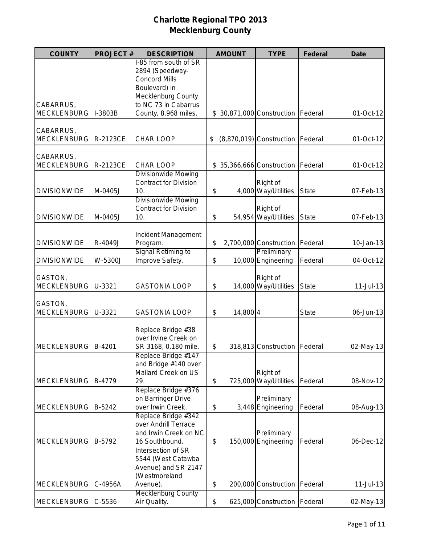| <b>COUNTY</b>                   | <b>PROJECT#</b> | <b>DESCRIPTION</b>                                                                                                                                      | <b>AMOUNT</b>  | <b>TYPE</b>                          | <b>Federal</b> | <b>Date</b> |
|---------------------------------|-----------------|---------------------------------------------------------------------------------------------------------------------------------------------------------|----------------|--------------------------------------|----------------|-------------|
| CABARRUS,<br><b>MECKLENBURG</b> | I-3803B         | I-85 from south of SR<br>2894 (Speedway-<br><b>Concord Mills</b><br>Boulevard) in<br>Mecklenburg County<br>to NC 73 in Cabarrus<br>County, 8.968 miles. |                | \$ 30,871,000 Construction   Federal |                | 01-Oct-12   |
| CABARRUS,<br><b>MECKLENBURG</b> | R-2123CE        | <b>CHAR LOOP</b>                                                                                                                                        | \$             | $(8,870,019)$ Construction           | Federal        | 01-Oct-12   |
| CABARRUS,<br><b>MECKLENBURG</b> | R-2123CE        | <b>CHAR LOOP</b>                                                                                                                                        |                | \$ 35,366,666 Construction           | Federal        | 01-Oct-12   |
| <b>DIVISIONWIDE</b>             | M-0405J         | <b>Divisionwide Mowing</b><br><b>Contract for Division</b><br>10.                                                                                       | \$             | Right of<br>4,000 Way/Utilities      | <b>State</b>   | 07-Feb-13   |
| <b>DIVISIONWIDE</b>             | M-0405J         | <b>Divisionwide Mowing</b><br><b>Contract for Division</b><br>10.                                                                                       | \$             | Right of<br>54,954 Way/Utilities     | <b>State</b>   | 07-Feb-13   |
| <b>DIVISIONWIDE</b>             | R-4049J         | Incident Management<br>Program.                                                                                                                         | \$             | 2,700,000 Construction               | Federal        | 10-Jan-13   |
| <b>DIVISIONWIDE</b>             | W-5300J         | Signal Retiming to<br>Improve Safety.                                                                                                                   | \$             | Preliminary<br>10,000 Engineering    | Federal        | 04-Oct-12   |
| GASTON,<br><b>MECKLENBURG</b>   | U-3321          | <b>GASTONIA LOOP</b>                                                                                                                                    | \$             | Right of<br>14,000 Way/Utilities     | <b>State</b>   | $11-Jul-13$ |
| GASTON,<br><b>MECKLENBURG</b>   | U-3321          | <b>GASTONIA LOOP</b>                                                                                                                                    | \$<br>14,800 4 |                                      | <b>State</b>   | 06-Jun-13   |
| <b>MECKLENBURG</b>              | B-4201          | Replace Bridge #38<br>over Irvine Creek on<br>SR 3168, 0.180 mile.                                                                                      | \$             | 318,813 Construction                 | Federal        | 02-May-13   |
| <b>MECKLENBURG</b>              | B-4779          | Replace Bridge #147<br>and Bridge #140 over<br>Mallard Creek on US<br>29.                                                                               | \$             | Right of<br>725,000 Way/Utilities    | Federal        | 08-Nov-12   |
| <b>MECKLENBURG</b>              | B-5242          | Replace Bridge #376<br>on Barringer Drive<br>over Irwin Creek.                                                                                          | \$             | Preliminary<br>3,448 Engineering     | Federal        | 08-Aug-13   |
| <b>MECKLENBURG</b>              | B-5792          | Replace Bridge #342<br>over Andrill Terrace<br>and Irwin Creek on NC<br>16 Southbound.                                                                  | \$             | Preliminary<br>150,000 Engineering   | Federal        | 06-Dec-12   |
|                                 |                 | Intersection of SR<br>5544 (West Catawba<br>Avenue) and SR 2147<br>(Westmoreland                                                                        |                |                                      |                |             |
| <b>MECKLENBURG</b>              | C-4956A         | Avenue).<br><b>Mecklenburg County</b>                                                                                                                   | \$             | 200,000 Construction                 | Federal        | 11-Jul-13   |
| <b>MECKLENBURG</b>              | $C-5536$        | Air Quality.                                                                                                                                            | \$             | 625,000 Construction   Federal       |                | 02-May-13   |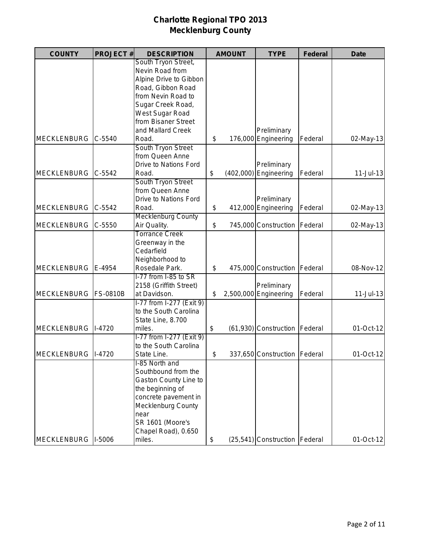| <b>COUNTY</b>       | <b>PROJECT#</b> | <b>DESCRIPTION</b>           |     | <b>AMOUNT</b> | <b>TYPE</b>                     | <b>Federal</b> | <b>Date</b>   |
|---------------------|-----------------|------------------------------|-----|---------------|---------------------------------|----------------|---------------|
|                     |                 | South Tryon Street,          |     |               |                                 |                |               |
|                     |                 | Nevin Road from              |     |               |                                 |                |               |
|                     |                 | Alpine Drive to Gibbon       |     |               |                                 |                |               |
|                     |                 | Road, Gibbon Road            |     |               |                                 |                |               |
|                     |                 | from Nevin Road to           |     |               |                                 |                |               |
|                     |                 | Sugar Creek Road,            |     |               |                                 |                |               |
|                     |                 | West Sugar Road              |     |               |                                 |                |               |
|                     |                 | from Bisaner Street          |     |               |                                 |                |               |
|                     |                 | and Mallard Creek            |     |               | Preliminary                     |                |               |
| <b>MECKLENBURG</b>  | $C - 5540$      | Road.                        | \$  |               | 176,000 Engineering             | Federal        | 02-May-13     |
|                     |                 | South Tryon Street           |     |               |                                 |                |               |
|                     |                 | from Queen Anne              |     |               |                                 |                |               |
|                     |                 | <b>Drive to Nations Ford</b> |     |               | Preliminary                     |                |               |
| <b>MECKLENBURG</b>  | $C-5542$        | Road.                        | \$  |               | $(402,000)$ Engineering         | Federal        | $11 -$ Jul-13 |
|                     |                 | South Tryon Street           |     |               |                                 |                |               |
|                     |                 | from Queen Anne              |     |               |                                 |                |               |
|                     |                 | Drive to Nations Ford        |     |               | Preliminary                     |                |               |
| <b>MECKLENBURG</b>  | $C-5542$        | Road.                        | \$  |               | 412,000 Engineering             | Federal        | 02-May-13     |
|                     |                 | <b>Mecklenburg County</b>    |     |               |                                 |                |               |
| <b>MECKLENBURG</b>  | $C - 5550$      | Air Quality.                 | \$  |               | 745,000 Construction            | Federal        | 02-May-13     |
|                     |                 | <b>Torrance Creek</b>        |     |               |                                 |                |               |
|                     |                 | Greenway in the              |     |               |                                 |                |               |
|                     |                 | Cedarfield                   |     |               |                                 |                |               |
|                     |                 | Neighborhood to              |     |               |                                 |                |               |
| <b>MECKLENBURG</b>  | E-4954          | Rosedale Park.               | \$  |               | 475,000 Construction            | Federal        | 08-Nov-12     |
|                     |                 | I-77 from I-85 to SR         |     |               |                                 |                |               |
|                     |                 |                              |     |               |                                 |                |               |
| <b>MECKLENBURG</b>  |                 | 2158 (Griffith Street)       |     |               | Preliminary                     |                |               |
|                     | <b>FS-0810B</b> | at Davidson.                 | \$  |               | 2,500,000 Engineering           | Federal        | $11 -$ Jul-13 |
|                     |                 | I-77 from I-277 (Exit 9)     |     |               |                                 |                |               |
|                     |                 | to the South Carolina        |     |               |                                 |                |               |
|                     |                 | State Line, 8.700            |     |               |                                 |                |               |
| <b>MECKLENBURG</b>  | $1-4720$        | miles.                       | \$  |               | (61,930) Construction Federal   |                | 01-Oct-12     |
|                     |                 | I-77 from I-277 (Exit 9)     |     |               |                                 |                |               |
|                     |                 | to the South Carolina        |     |               |                                 |                |               |
| MECKLENBURG  I-4720 |                 | State Line.                  | \$. |               | 337,650 Construction Federal    |                | 01-Oct-12     |
|                     |                 | I-85 North and               |     |               |                                 |                |               |
|                     |                 | Southbound from the          |     |               |                                 |                |               |
|                     |                 | <b>Gaston County Line to</b> |     |               |                                 |                |               |
|                     |                 | the beginning of             |     |               |                                 |                |               |
|                     |                 | concrete pavement in         |     |               |                                 |                |               |
|                     |                 | <b>Mecklenburg County</b>    |     |               |                                 |                |               |
|                     |                 | near                         |     |               |                                 |                |               |
|                     |                 | SR 1601 (Moore's             |     |               |                                 |                |               |
|                     |                 | Chapel Road), 0.650          |     |               |                                 |                |               |
| <b>MECKLENBURG</b>  | $I-5006$        | miles.                       | \$  |               | (25,541) Construction   Federal |                | 01-Oct-12     |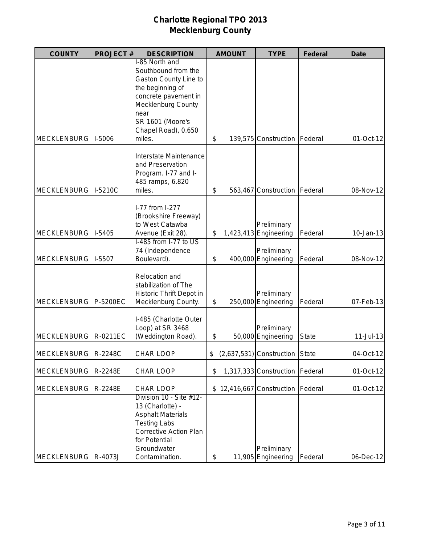| <b>COUNTY</b>         | <b>PROJECT#</b> | <b>DESCRIPTION</b>                                                                                                                                                                                   | <b>AMOUNT</b> | <b>TYPE</b>                            | <b>Federal</b> | <b>Date</b>   |
|-----------------------|-----------------|------------------------------------------------------------------------------------------------------------------------------------------------------------------------------------------------------|---------------|----------------------------------------|----------------|---------------|
| <b>MECKLENBURG</b>    | <b>I-5006</b>   | I-85 North and<br>Southbound from the<br>Gaston County Line to<br>the beginning of<br>concrete pavement in<br><b>Mecklenburg County</b><br>near<br>SR 1601 (Moore's<br>Chapel Road), 0.650<br>miles. | \$            | 139,575 Construction   Federal         |                | 01-Oct-12     |
| <b>MECKLENBURG</b>    | I-5210C         | Interstate Maintenance<br>and Preservation<br>Program. I-77 and I-<br>485 ramps, 6.820<br>miles.                                                                                                     | \$            | 563,467 Construction   Federal         |                | 08-Nov-12     |
| <b>MECKLENBURG</b>    | $I-5405$        | I-77 from I-277<br>(Brookshire Freeway)<br>to West Catawba<br>Avenue (Exit 28).                                                                                                                      | \$            | Preliminary<br>$1,423,413$ Engineering | Federal        | $10 - Jan-13$ |
| <b>MECKLENBURG</b>    | $I-5507$        | I-485 from I-77 to US<br>74 (Independence<br>Boulevard).                                                                                                                                             | \$            | Preliminary<br>400,000 Engineering     | Federal        | 08-Nov-12     |
| <b>MECKLENBURG</b>    | P-5200EC        | Relocation and<br>stabilization of The<br>Historic Thrift Depot in<br>Mecklenburg County.                                                                                                            | \$            | Preliminary<br>250,000 Engineering     | Federal        | 07-Feb-13     |
| <b>MECKLENBURG</b>    | R-0211EC        | I-485 (Charlotte Outer<br>Loop) at SR 3468<br>(Weddington Road).                                                                                                                                     | \$            | Preliminary<br>50,000 Engineering      | <b>State</b>   | $11 -$ Jul-13 |
| MECKLENBURG   R-2248C |                 | <b>CHAR LOOP</b>                                                                                                                                                                                     | \$            | (2,637,531) Construction State         |                | 04-Oct-12     |
| <b>MECKLENBURG</b>    | R-2248E         | CHAR LOOP                                                                                                                                                                                            | \$            | 1,317,333 Construction   Federal       |                | 01-Oct-12     |
| <b>MECKLENBURG</b>    | R-2248E         | <b>CHAR LOOP</b>                                                                                                                                                                                     |               | \$12,416,667 Construction              | Federal        | 01-Oct-12     |
| <b>MECKLENBURG</b>    | R-4073J         | Division 10 - Site #12-<br>13 (Charlotte) -<br><b>Asphalt Materials</b><br><b>Testing Labs</b><br><b>Corrective Action Plan</b><br>for Potential<br>Groundwater<br>Contamination.                    | \$            | Preliminary<br>11,905 Engineering      | Federal        | 06-Dec-12     |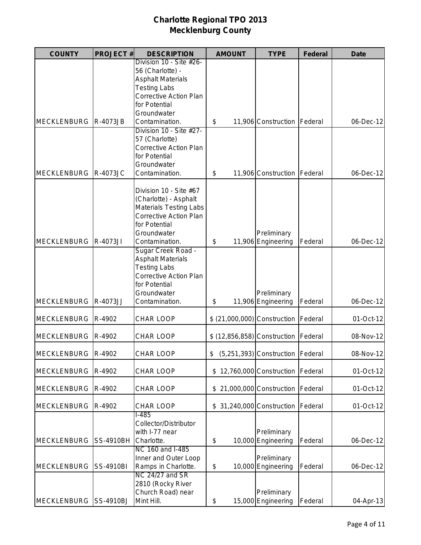| <b>COUNTY</b>         | <b>PROJECT#</b>  | <b>DESCRIPTION</b>                                                                                                                                | <b>AMOUNT</b> | <b>TYPE</b>                       | <b>Federal</b> | <b>Date</b> |
|-----------------------|------------------|---------------------------------------------------------------------------------------------------------------------------------------------------|---------------|-----------------------------------|----------------|-------------|
|                       |                  | Division 10 - Site #26-<br>56 (Charlotte) -<br><b>Asphalt Materials</b><br><b>Testing Labs</b>                                                    |               |                                   |                |             |
|                       |                  | <b>Corrective Action Plan</b><br>for Potential<br>Groundwater                                                                                     |               |                                   |                |             |
| <b>MECKLENBURG</b>    | R-4073JB         | Contamination.<br>Division 10 - Site #27-                                                                                                         | \$            | 11,906 Construction   Federal     |                | 06-Dec-12   |
| <b>MECKLENBURG</b>    | <b>R-4073JC</b>  | 57 (Charlotte)<br><b>Corrective Action Plan</b><br>for Potential<br>Groundwater<br>Contamination.                                                 | \$            | 11,906 Construction               | Federal        | 06-Dec-12   |
|                       |                  | Division 10 - Site #67<br>(Charlotte) - Asphalt<br><b>Materials Testing Labs</b><br><b>Corrective Action Plan</b><br>for Potential<br>Groundwater |               | Preliminary                       |                |             |
| <b>MECKLENBURG</b>    | R-4073JI         | Contamination.                                                                                                                                    | \$            | 11,906 Engineering                | Federal        | 06-Dec-12   |
|                       |                  | Sugar Creek Road -<br><b>Asphalt Materials</b><br><b>Testing Labs</b><br><b>Corrective Action Plan</b><br>for Potential<br>Groundwater            |               | Preliminary                       |                |             |
| <b>MECKLENBURG</b>    | R-4073JJ         | Contamination.                                                                                                                                    | \$            | 11,906 Engineering                | Federal        | 06-Dec-12   |
| <b>MECKLENBURG</b>    | R-4902           | <b>CHAR LOOP</b>                                                                                                                                  |               | \$ (21,000,000) Construction      | Federal        | 01-Oct-12   |
| <b>MECKLENBURG</b>    | R-4902           | <b>CHAR LOOP</b>                                                                                                                                  |               | \$ (12,856,858) Construction      | Federal        | 08-Nov-12   |
| MECKLENBURG R-4902    |                  | <b>CHAR LOOP</b>                                                                                                                                  | \$            | (5,251,393) Construction Federal  |                | 08-Nov-12   |
| <b>MECKLENBURG</b>    | R-4902           | <b>CHAR LOOP</b>                                                                                                                                  |               | \$12,760,000 Construction         | Federal        | 01-Oct-12   |
| <b>MECKLENBURG</b>    | R-4902           | <b>CHAR LOOP</b>                                                                                                                                  |               | \$21,000,000 Construction         | Federal        | 01-Oct-12   |
| <b>MECKLENBURG</b>    | R-4902           | <b>CHAR LOOP</b>                                                                                                                                  |               | \$ 31,240,000 Construction        | Federal        | 01-Oct-12   |
| <b>MECKLENBURG</b>    | <b>SS-4910BH</b> | $1 - 485$<br>Collector/Distributor<br>with I-77 near<br>Charlotte.                                                                                | \$            | Preliminary<br>10,000 Engineering | Federal        | 06-Dec-12   |
| <b>MECKLENBURG</b>    | <b>SS-4910BI</b> | NC 160 and I-485<br>Inner and Outer Loop<br>Ramps in Charlotte.<br>NC 24/27 and SR                                                                | \$            | Preliminary<br>10,000 Engineering | Federal        | 06-Dec-12   |
| MECKLENBURG SS-4910BJ |                  | 2810 (Rocky River<br>Church Road) near<br>Mint Hill.                                                                                              | \$            | Preliminary<br>15,000 Engineering | Federal        | 04-Apr-13   |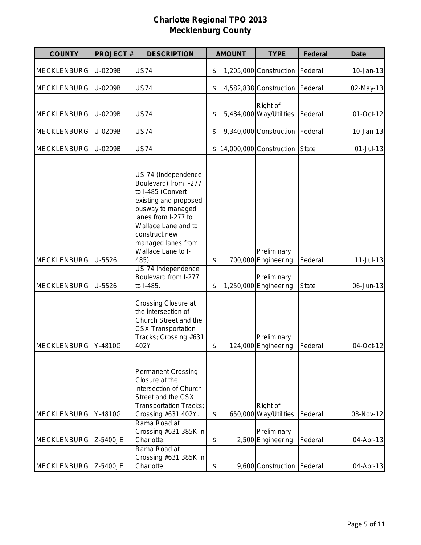| <b>COUNTY</b>                            | <b>PROJECT#</b>  | <b>DESCRIPTION</b>                                                                                                                                                                                                                                                                             |          | <b>AMOUNT</b> | <b>TYPE</b>                                                                | <b>Federal</b>   | <b>Date</b>              |
|------------------------------------------|------------------|------------------------------------------------------------------------------------------------------------------------------------------------------------------------------------------------------------------------------------------------------------------------------------------------|----------|---------------|----------------------------------------------------------------------------|------------------|--------------------------|
| <b>MECKLENBURG</b>                       | U-0209B          | <b>US74</b>                                                                                                                                                                                                                                                                                    | \$       |               | 1,205,000 Construction                                                     | Federal          | 10-Jan-13                |
| <b>MECKLENBURG</b>                       | U-0209B          | <b>US74</b>                                                                                                                                                                                                                                                                                    | \$       |               | 4,582,838 Construction                                                     | Federal          | 02-May-13                |
| <b>MECKLENBURG</b>                       | U-0209B          | <b>US74</b>                                                                                                                                                                                                                                                                                    | \$       |               | Right of<br>5,484,000 Way/Utilities                                        | Federal          | 01-Oct-12                |
| <b>MECKLENBURG</b>                       | U-0209B          | <b>US74</b>                                                                                                                                                                                                                                                                                    | \$       |               | 9,340,000 Construction                                                     | Federal          | 10-Jan-13                |
| <b>MECKLENBURG</b>                       | U-0209B          | <b>US74</b>                                                                                                                                                                                                                                                                                    | \$       |               | 14,000,000 Construction                                                    | <b>State</b>     | 01-Jul-13                |
| <b>MECKLENBURG</b><br><b>MECKLENBURG</b> | U-5526<br>U-5526 | US 74 (Independence<br>Boulevard) from I-277<br>to I-485 (Convert<br>existing and proposed<br>busway to managed<br>lanes from I-277 to<br>Wallace Lane and to<br>construct new<br>managed lanes from<br>Wallace Lane to I-<br>485).<br>US 74 Independence<br>Boulevard from I-277<br>to I-485. | \$<br>\$ |               | Preliminary<br>700,000 Engineering<br>Preliminary<br>1,250,000 Engineering | Federal<br>State | $11-Jul-13$<br>06-Jun-13 |
| <b>MECKLENBURG</b>                       | Y-4810G          | Crossing Closure at<br>the intersection of<br>Church Street and the<br><b>CSX Transportation</b><br>Tracks; Crossing #631<br>402Y.                                                                                                                                                             | \$       |               | Preliminary<br>124,000 Engineering                                         | Federal          | 04-Oct-12                |
| <b>MECKLENBURG</b>                       | Y-4810G          | <b>Permanent Crossing</b><br>Closure at the<br>intersection of Church<br>Street and the CSX<br>Transportation Tracks;<br>Crossing #631 402Y.                                                                                                                                                   | \$       |               | Right of<br>650,000 Way/Utilities                                          | Federal          | 08-Nov-12                |
| <b>MECKLENBURG</b>                       | Z-5400JE         | Rama Road at<br>Crossing #631 385K in<br>Charlotte.                                                                                                                                                                                                                                            | \$       |               | Preliminary<br>2,500 Engineering                                           | Federal          | 04-Apr-13                |
| MECKLENBURG Z-5400JE                     |                  | Rama Road at<br>Crossing #631 385K in<br>Charlotte.                                                                                                                                                                                                                                            | \$       |               | 9,600 Construction   Federal                                               |                  | 04-Apr-13                |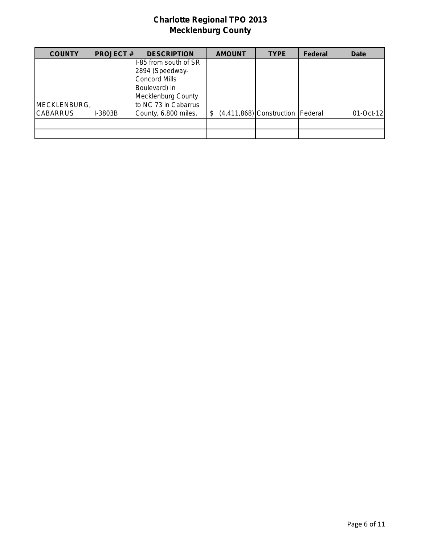| <b>COUNTY</b>                   | <b>PROJECT#</b> | <b>DESCRIPTION</b>                                                                                      | <b>AMOUNT</b> | <b>TYPE</b>                        | <b>Federal</b> | Date      |
|---------------------------------|-----------------|---------------------------------------------------------------------------------------------------------|---------------|------------------------------------|----------------|-----------|
|                                 |                 | I-85 from south of SR<br>2894 (Speedway-<br>Concord Mills<br>Boulevard) in<br><b>Mecklenburg County</b> |               |                                    |                |           |
| MECKLENBURG,<br><b>CABARRUS</b> | I-3803B         | to NC 73 in Cabarrus<br>County, 6.800 miles.                                                            | \$.           | (4,411,868) Construction   Federal |                | 01-Oct-12 |
|                                 |                 |                                                                                                         |               |                                    |                |           |
|                                 |                 |                                                                                                         |               |                                    |                |           |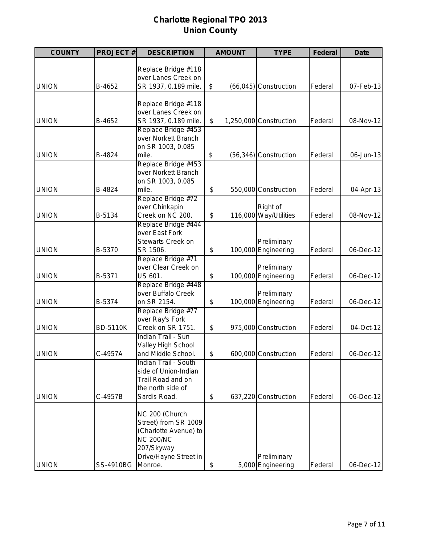# **Charlotte Regional TPO 2013 Union County**

| <b>COUNTY</b> | <b>PROJECT#</b> | <b>DESCRIPTION</b>                         | <b>AMOUNT</b> | <b>TYPE</b>                        | <b>Federal</b> | <b>Date</b> |
|---------------|-----------------|--------------------------------------------|---------------|------------------------------------|----------------|-------------|
|               |                 |                                            |               |                                    |                |             |
|               |                 | Replace Bridge #118<br>over Lanes Creek on |               |                                    |                |             |
| <b>UNION</b>  | B-4652          | SR 1937, 0.189 mile.                       | \$            | $(66,045)$ Construction            | Federal        | 07-Feb-13   |
|               |                 |                                            |               |                                    |                |             |
|               |                 | Replace Bridge #118                        |               |                                    |                |             |
|               |                 | over Lanes Creek on                        |               |                                    |                |             |
| <b>UNION</b>  | B-4652          | SR 1937, 0.189 mile.                       | \$            | 1,250,000 Construction             | Federal        | 08-Nov-12   |
|               |                 | Replace Bridge #453                        |               |                                    |                |             |
|               |                 | over Norkett Branch                        |               |                                    |                |             |
|               |                 | on SR 1003, 0.085                          |               |                                    |                |             |
| <b>UNION</b>  | B-4824          | mile.                                      | \$            | (56,346) Construction              | Federal        | 06-Jun-13   |
|               |                 | Replace Bridge #453                        |               |                                    |                |             |
|               |                 | over Norkett Branch                        |               |                                    |                |             |
|               |                 | on SR 1003, 0.085                          |               |                                    |                |             |
| <b>UNION</b>  | B-4824          | mile.                                      | \$            | 550,000 Construction               | Federal        | 04-Apr-13   |
|               |                 | Replace Bridge #72                         |               |                                    |                |             |
|               |                 | over Chinkapin                             |               | Right of                           |                |             |
| <b>UNION</b>  | B-5134          | Creek on NC 200.                           | \$            | 116,000 Way/Utilities              | Federal        | 08-Nov-12   |
|               |                 | Replace Bridge #444                        |               |                                    |                |             |
|               |                 | over East Fork                             |               |                                    |                |             |
|               |                 | <b>Stewarts Creek on</b>                   |               | Preliminary                        |                |             |
| <b>UNION</b>  | B-5370          | SR 1506.                                   | \$            | 100,000 Engineering                | Federal        | 06-Dec-12   |
|               |                 | Replace Bridge #71                         |               |                                    |                |             |
| <b>UNION</b>  | B-5371          | over Clear Creek on<br>US 601.             | \$            | Preliminary<br>100,000 Engineering | Federal        | 06-Dec-12   |
|               |                 | Replace Bridge #448                        |               |                                    |                |             |
|               |                 | over Buffalo Creek                         |               | Preliminary                        |                |             |
| <b>UNION</b>  | B-5374          | on SR 2154.                                | \$            | 100,000 Engineering                | Federal        | 06-Dec-12   |
|               |                 | Replace Bridge #77                         |               |                                    |                |             |
|               |                 | over Ray's Fork                            |               |                                    |                |             |
| <b>UNION</b>  | <b>BD-5110K</b> | Creek on SR 1751.                          | \$            | 975,000 Construction               | Federal        | 04-Oct-12   |
|               |                 | <b>Indian Trail - Sun</b>                  |               |                                    |                |             |
|               |                 | Valley High School                         |               |                                    |                |             |
| <b>UNION</b>  | C-4957A         | and Middle School.                         | \$            | 600,000 Construction               | Federal        | 06-Dec-12   |
|               |                 | <b>Indian Trail - South</b>                |               |                                    |                |             |
|               |                 | side of Union-Indian                       |               |                                    |                |             |
|               |                 | Trail Road and on                          |               |                                    |                |             |
|               |                 | the north side of                          |               |                                    |                |             |
| <b>UNION</b>  | C-4957B         | Sardis Road.                               | \$            | 637,220 Construction               | Federal        | 06-Dec-12   |
|               |                 |                                            |               |                                    |                |             |
|               |                 | NC 200 (Church                             |               |                                    |                |             |
|               |                 | Street) from SR 1009                       |               |                                    |                |             |
|               |                 | (Charlotte Avenue) to                      |               |                                    |                |             |
|               |                 | <b>NC 200/NC</b>                           |               |                                    |                |             |
|               |                 | 207/Skyway                                 |               |                                    |                |             |
|               |                 | Drive/Hayne Street in                      |               | Preliminary                        |                |             |
| <b>UNION</b>  | SS-4910BG       | Monroe.                                    | \$            | 5,000 Engineering                  | Federal        | 06-Dec-12   |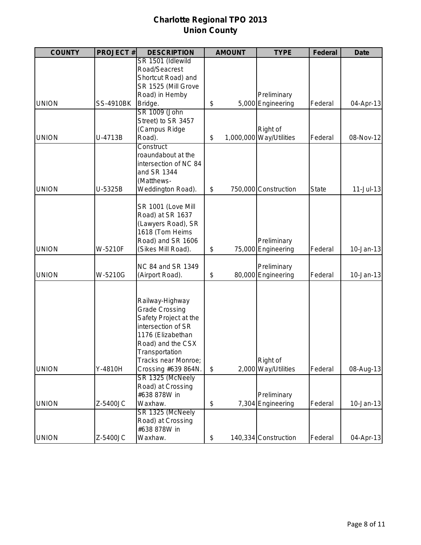# **Charlotte Regional TPO 2013 Union County**

| <b>COUNTY</b> | <b>PROJECT#</b>  | <b>DESCRIPTION</b>                | <b>AMOUNT</b> | <b>TYPE</b>                      | <b>Federal</b> | <b>Date</b>   |
|---------------|------------------|-----------------------------------|---------------|----------------------------------|----------------|---------------|
|               |                  | SR 1501 (Idlewild                 |               |                                  |                |               |
|               |                  | Road/Seacrest                     |               |                                  |                |               |
|               |                  | Shortcut Road) and                |               |                                  |                |               |
|               |                  | SR 1525 (Mill Grove               |               |                                  |                |               |
|               |                  | Road) in Hemby                    |               | Preliminary                      |                |               |
| <b>UNION</b>  | <b>SS-4910BK</b> | Bridge.                           | \$            | 5,000 Engineering                | Federal        | 04-Apr-13     |
|               |                  | SR 1009 (John                     |               |                                  |                |               |
|               |                  | Street) to SR 3457                |               |                                  |                |               |
|               |                  | (Campus Ridge                     |               | Right of                         |                |               |
| <b>UNION</b>  | U-4713B          | Road).                            | \$            | 1,000,000 Way/Utilities          | Federal        | 08-Nov-12     |
|               |                  | Construct                         |               |                                  |                |               |
|               |                  | roaundabout at the                |               |                                  |                |               |
|               |                  | intersection of NC 84             |               |                                  |                |               |
|               |                  | and SR 1344                       |               |                                  |                |               |
| <b>UNION</b>  |                  | (Matthews-                        |               |                                  |                |               |
|               | U-5325B          | Weddington Road).                 | \$            | 750,000 Construction             | <b>State</b>   | $11$ -Jul-13  |
|               |                  | SR 1001 (Love Mill                |               |                                  |                |               |
|               |                  | Road) at SR 1637                  |               |                                  |                |               |
|               |                  | (Lawyers Road), SR                |               |                                  |                |               |
|               |                  | 1618 (Tom Heims                   |               |                                  |                |               |
|               |                  | Road) and SR 1606                 |               | Preliminary                      |                |               |
| <b>UNION</b>  | W-5210F          | (Sikes Mill Road).                | \$            | 75,000 Engineering               | Federal        | 10-Jan-13     |
|               |                  | NC 84 and SR 1349                 |               | Preliminary                      |                |               |
| <b>UNION</b>  | W-5210G          | (Airport Road).                   | \$            | 80,000 Engineering               | Federal        | $10 - Jan-13$ |
|               |                  |                                   |               |                                  |                |               |
|               |                  |                                   |               |                                  |                |               |
|               |                  | Railway-Highway                   |               |                                  |                |               |
|               |                  | <b>Grade Crossing</b>             |               |                                  |                |               |
|               |                  | Safety Project at the             |               |                                  |                |               |
|               |                  | intersection of SR                |               |                                  |                |               |
|               |                  | 1176 (Elizabethan                 |               |                                  |                |               |
|               |                  | Road) and the CSX                 |               |                                  |                |               |
|               |                  | Transportation                    |               |                                  |                |               |
|               |                  | Tracks near Monroe;               |               | Right of                         |                |               |
| <b>UNION</b>  | Y-4810H          | Crossing #639 864N.               | \$            | 2,000 Way/Utilities              | Federal        | 08-Aug-13     |
|               |                  | SR 1325 (McNeely                  |               |                                  |                |               |
|               |                  | Road) at Crossing<br>#638 878W in |               |                                  |                |               |
| <b>UNION</b>  | Z-5400JC         | Waxhaw.                           | \$            | Preliminary<br>7,304 Engineering | Federal        | $10 - Jan-13$ |
|               |                  | SR 1325 (McNeely                  |               |                                  |                |               |
|               |                  | Road) at Crossing                 |               |                                  |                |               |
|               |                  | #638 878W in                      |               |                                  |                |               |
|               |                  |                                   |               |                                  |                | 04-Apr-13     |
| <b>UNION</b>  | Z-5400JC         | Waxhaw.                           | \$            | 140,334 Construction             | Federal        |               |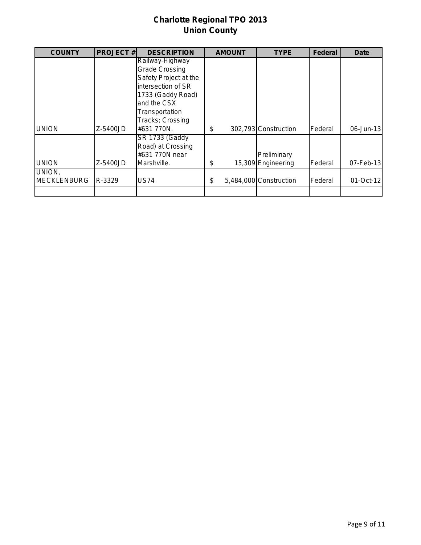# **Charlotte Regional TPO 2013 Union County**

| <b>COUNTY</b>      | <b>PROJECT#</b> | <b>DESCRIPTION</b>    | <b>AMOUNT</b> | <b>TYPE</b>            | <b>Federal</b> | Date      |
|--------------------|-----------------|-----------------------|---------------|------------------------|----------------|-----------|
|                    |                 | Railway-Highway       |               |                        |                |           |
|                    |                 | <b>Grade Crossing</b> |               |                        |                |           |
|                    |                 | Safety Project at the |               |                        |                |           |
|                    |                 | intersection of SR    |               |                        |                |           |
|                    |                 | 1733 (Gaddy Road)     |               |                        |                |           |
|                    |                 | and the CSX           |               |                        |                |           |
|                    |                 | Transportation        |               |                        |                |           |
|                    |                 | Tracks; Crossing      |               |                        |                |           |
| <b>UNION</b>       | Z-5400JD        | #631 770N.            | \$            | 302,793 Construction   | Federal        | 06-Jun-13 |
|                    |                 | <b>SR 1733 (Gaddy</b> |               |                        |                |           |
|                    |                 | Road) at Crossing     |               |                        |                |           |
|                    |                 | #631 770N near        |               | Preliminary            |                |           |
| <b>UNION</b>       | Z-5400JD        | Marshville.           | \$            | 15,309 Engineering     | Federal        | 07-Feb-13 |
| UNION.             |                 |                       |               |                        |                |           |
| <b>MECKLENBURG</b> | R-3329          | <b>US74</b>           | \$            | 5,484,000 Construction | Federal        | 01-Oct-12 |
|                    |                 |                       |               |                        |                |           |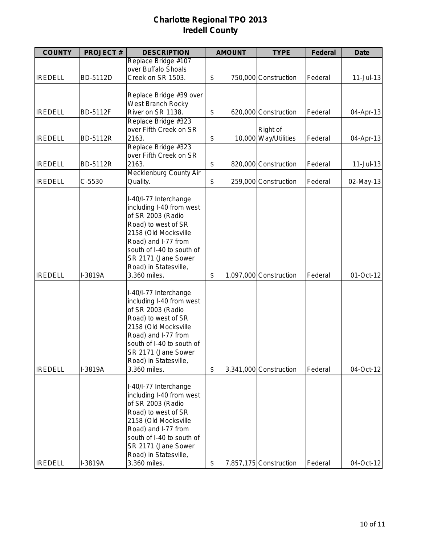# **Charlotte Regional TPO 2013 Iredell County**

| <b>COUNTY</b>  | <b>PROJECT#</b> | <b>DESCRIPTION</b>                            | <b>AMOUNT</b> | <b>TYPE</b>            | <b>Federal</b> | <b>Date</b>   |
|----------------|-----------------|-----------------------------------------------|---------------|------------------------|----------------|---------------|
|                |                 | Replace Bridge #107                           |               |                        |                |               |
|                |                 | over Buffalo Shoals                           |               |                        |                |               |
| <b>IREDELL</b> | BD-5112D        | Creek on SR 1503.                             | \$            | 750,000 Construction   | Federal        | $11 -$ Jul-13 |
|                |                 |                                               |               |                        |                |               |
|                |                 | Replace Bridge #39 over                       |               |                        |                |               |
|                |                 | West Branch Rocky                             |               |                        |                |               |
| <b>IREDELL</b> | BD-5112F        | River on SR 1138.                             | \$            | 620,000 Construction   | Federal        | 04-Apr-13     |
|                |                 | Replace Bridge #323<br>over Fifth Creek on SR |               | Right of               |                |               |
| <b>IREDELL</b> | <b>BD-5112R</b> | 2163.                                         | \$            | 10,000 Way/Utilities   | Federal        | 04-Apr-13     |
|                |                 | Replace Bridge #323                           |               |                        |                |               |
|                |                 | over Fifth Creek on SR                        |               |                        |                |               |
| <b>IREDELL</b> | <b>BD-5112R</b> | 2163.                                         | \$            | 820,000 Construction   | Federal        | $11-Jul-13$   |
|                |                 | <b>Mecklenburg County Air</b>                 |               |                        |                |               |
| <b>IREDELL</b> | C-5530          | Quality.                                      | \$            | 259,000 Construction   | Federal        | 02-May-13     |
|                |                 |                                               |               |                        |                |               |
|                |                 | I-40/I-77 Interchange                         |               |                        |                |               |
|                |                 | including I-40 from west                      |               |                        |                |               |
|                |                 | of SR 2003 (Radio                             |               |                        |                |               |
|                |                 | Road) to west of SR                           |               |                        |                |               |
|                |                 | 2158 (Old Mocksville                          |               |                        |                |               |
|                |                 | Road) and I-77 from                           |               |                        |                |               |
|                |                 | south of I-40 to south of                     |               |                        |                |               |
|                |                 | SR 2171 (Jane Sower                           |               |                        |                |               |
|                |                 | Road) in Statesville,                         |               |                        |                |               |
| <b>IREDELL</b> | I-3819A         | 3.360 miles.                                  | \$            | 1,097,000 Construction | Federal        | 01-Oct-12     |
|                |                 |                                               |               |                        |                |               |
|                |                 | I-40/I-77 Interchange                         |               |                        |                |               |
|                |                 | including I-40 from west                      |               |                        |                |               |
|                |                 | of SR 2003 (Radio                             |               |                        |                |               |
|                |                 | Road) to west of SR                           |               |                        |                |               |
|                |                 | 2158 (Old Mocksville                          |               |                        |                |               |
|                |                 | Road) and I-77 from                           |               |                        |                |               |
|                |                 | south of I-40 to south of                     |               |                        |                |               |
|                |                 | SR 2171 (Jane Sower                           |               |                        |                |               |
|                |                 | Road) in Statesville,                         |               |                        |                |               |
| <b>IREDELL</b> | I-3819A         | 3.360 miles.                                  | \$            | 3,341,000 Construction | Federal        | 04-Oct-12     |
|                |                 |                                               |               |                        |                |               |
|                |                 | I-40/I-77 Interchange                         |               |                        |                |               |
|                |                 | including I-40 from west                      |               |                        |                |               |
|                |                 | of SR 2003 (Radio                             |               |                        |                |               |
|                |                 | Road) to west of SR                           |               |                        |                |               |
|                |                 | 2158 (Old Mocksville                          |               |                        |                |               |
|                |                 | Road) and I-77 from                           |               |                        |                |               |
|                |                 | south of I-40 to south of                     |               |                        |                |               |
|                |                 | SR 2171 (Jane Sower                           |               |                        |                |               |
|                |                 | Road) in Statesville,                         |               |                        |                |               |
| <b>IREDELL</b> | I-3819A         | 3.360 miles.                                  | \$            | 7,857,175 Construction | Federal        | 04-Oct-12     |